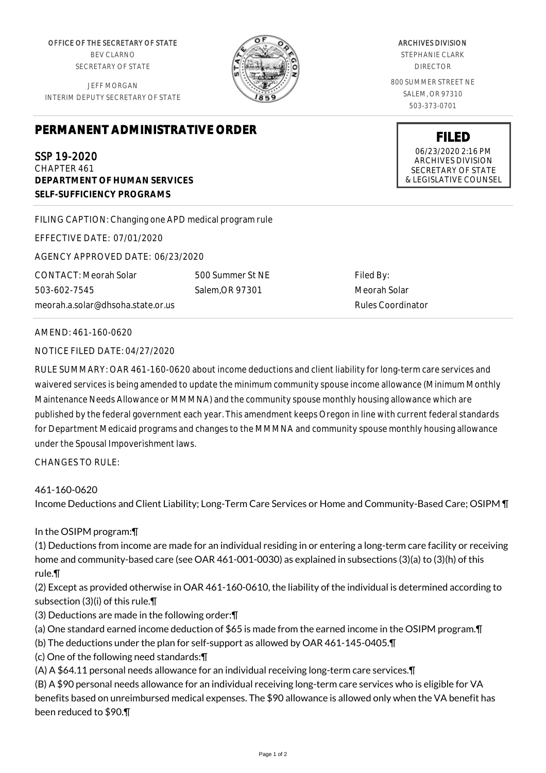OFFICE OF THE SECRETARY OF STATE BEV CLARNO SECRETARY OF STATE

JEFF MORGAN INTERIM DEPUTY SECRETARY OF STATE

## **PERMANENT ADMINISTRATIVE ORDER**

SSP 19-2020 CHAPTER 461 **DEPARTMENT OF HUMAN SERVICES SELF-SUFFICIENCY PROGRAMS**

FILING CAPTION: Changing one APD medical program rule

EFFECTIVE DATE: 07/01/2020

AGENCY APPROVED DATE: 06/23/2020

CONTACT: Meorah Solar 503-602-7545 meorah.a.solar@dhsoha.state.or.us 500 Summer St NE Salem,OR 97301

Filed By: Meorah Solar Rules Coordinator

AMEND: 461-160-0620

NOTICE FILED DATE: 04/27/2020

RULE SUMMARY: OAR 461-160-0620 about income deductions and client liability for long-term care services and waivered services is being amended to update the minimum community spouse income allowance (Minimum Monthly Maintenance Needs Allowance or MMMNA) and the community spouse monthly housing allowance which are published by the federal government each year. This amendment keeps Oregon in line with current federal standards for Department Medicaid programs and changes to the MMMNA and community spouse monthly housing allowance under the Spousal Impoverishment laws.

CHANGES TO RULE:

## 461-160-0620

Income Deductions and Client Liability; Long-Term Care Services or Home and Community-Based Care; OSIPM ¶

In the OSIPM program:¶

(1) Deductions from income are made for an individual residing in or entering a long-term care facility or receiving home and community-based care (see OAR 461-001-0030) as explained in subsections (3)(a) to (3)(h) of this rule.¶

(2) Except as provided otherwise in OAR 461-160-0610, the liability of the individual is determined according to subsection (3)(i) of this rule.¶

- (3) Deductions are made in the following order:¶
- (a) One standard earned income deduction of \$65 is made from the earned income in the OSIPM program.¶
- (b) The deductions under the plan for self-support as allowed by OAR 461-145-0405.¶
- (c) One of the following need standards:¶

(A) A \$64.11 personal needs allowance for an individual receiving long-term care services.¶

(B) A \$90 personal needs allowance for an individual receiving long-term care services who is eligible for VA benefits based on unreimbursed medical expenses. The \$90 allowance is allowed only when the VA benefit has been reduced to \$90.¶

## ARCHIVES DIVISION

STEPHANIE CLARK DIRECTOR

800 SUMMER STREET NE SALEM, OR 97310 503-373-0701

> **FILED** 06/23/2020 2:16 PM ARCHIVES DIVISION SECRETARY OF STATE & LEGISLATIVE COUNSEL